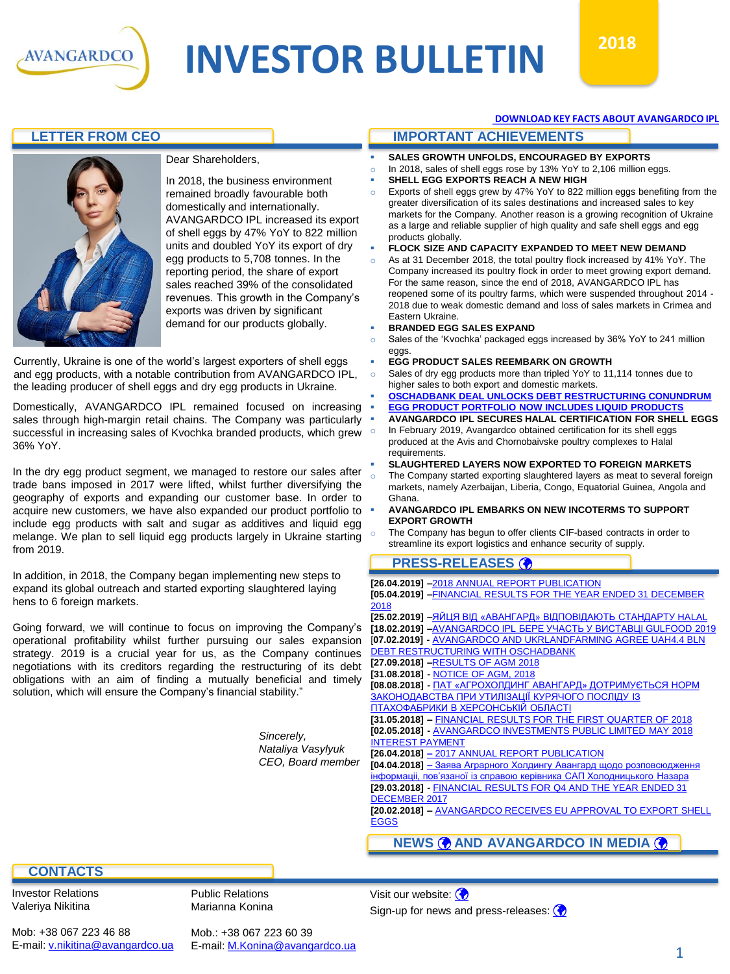

# **INVESTOR BULLETIN**  $2018$



#### Dear Shareholders,

In 2018, the business environment remained broadly favourable both domestically and internationally. AVANGARDCO IPL increased its export of shell eggs by 47% YoY to 822 million units and doubled YoY its export of dry egg products to 5,708 tonnes. In the reporting period, the share of export sales reached 39% of the consolidated revenues. This growth in the Company's exports was driven by significant demand for our products globally.

Currently, Ukraine is one of the world's largest exporters of shell eggs and egg products, with a notable contribution from AVANGARDCO IPL, the leading producer of shell eggs and dry egg products in Ukraine.

Domestically, AVANGARDCO IPL remained focused on increasing sales through high-margin retail chains. The Company was particularly successful in increasing sales of Kvochka branded products, which grew 36% YoY.

In the dry egg product segment, we managed to restore our sales after trade bans imposed in 2017 were lifted, whilst further diversifying the geography of exports and expanding our customer base. In order to acquire new customers, we have also expanded our product portfolio to include egg products with salt and sugar as additives and liquid egg melange. We plan to sell liquid egg products largely in Ukraine starting from 2019.

In addition, in 2018, the Company began implementing new steps to expand its global outreach and started exporting slaughtered laying hens to 6 foreign markets.

Going forward, we will continue to focus on improving the Company's operational profitability whilst further pursuing our sales expansion strategy. 2019 is a crucial year for us, as the Company continues negotiations with its creditors regarding the restructuring of its debt obligations with an aim of finding a mutually beneficial and timely solution, which will ensure the Company's financial stability."

> *Sincerely, Nataliya Vasylyuk CEO, Board member*

#### **[DOWNLOAD KEY FACTS ABOUT AVANGARDCO IPL](https://avangardco.ua/fileadmin/user_upload/Avangard_fact-sheet_2018_final.pdf)**

#### **LETTER FROM CEO IMPORTANT ACHIEVEMENTS**

- **SALES GROWTH UNFOLDS, ENCOURAGED BY EXPORTS**
- o In 2018, sales of shell eggs rose by 13% YoY to 2,106 million eggs.
- **SHELL EGG EXPORTS REACH A NEW HIGH**
- o Exports of shell eggs grew by 47% YoY to 822 million eggs benefiting from the greater diversification of its sales destinations and increased sales to key markets for the Company. Another reason is a growing recognition of Ukraine as a large and reliable supplier of high quality and safe shell eggs and egg products globally.
- **FLOCK SIZE AND CAPACITY EXPANDED TO MEET NEW DEMAND**
- As at 31 December 2018, the total poultry flock increased by 41% YoY. The Company increased its poultry flock in order to meet growing export demand. For the same reason, since the end of 2018, AVANGARDCO IPL has reopened some of its poultry farms, which were suspended throughout 2014 - 2018 due to weak domestic demand and loss of sales markets in Crimea and Eastern Ukraine.
- **BRANDED EGG SALES EXPAND**
- o Sales of the 'Kvochka' packaged eggs increased by 36% YoY to 241 million eggs.
- **EGG PRODUCT SALES REEMBARK ON GROWTH**
- Sales of dry egg products more than tripled YoY to 11,114 tonnes due to higher sales to both export and domestic markets.
- **[OSCHADBANK DEAL UNLOCKS DEBT RESTRUCTURING CONUNDRUM](https://avangardco.ua/fileadmin/user_upload/AVANGARDCO_AND_UKRLANDFARMING_AGREE_UAH4.4_BLN_DEBT_RESTRUCTURING_WITH_OSCHADBANK_ENG.pdf) EGG PRODUCT PORTFOLIO NOW INCLUDES LIQUID PRODUCT**
- **AVANGARDCO IPL SECURES HALAL CERTIFICATION FOR SHELL EGGS**
- o In February 2019, Avangardco obtained certification for its shell eggs produced at the Avis and Chornobaivske poultry complexes to Halal requirements.
- **SLAUGHTERED LAYERS NOW EXPORTED TO FOREIGN MARKETS**
- The Company started exporting slaughtered layers as meat to several foreign markets, namely Azerbaijan, Liberia, Congo, Equatorial Guinea, Angola and Ghana.
- **AVANGARDCO IPL EMBARKS ON NEW INCOTERMS TO SUPPORT EXPORT GROWTH**
- The Company has begun to offer clients CIF-based contracts in order to streamline its export logistics and enhance security of supply.

#### **PRESS-RELEASES**

| [26.04.2019] -2018 ANNUAL REPORT PUBLICATION                                                                                                 |
|----------------------------------------------------------------------------------------------------------------------------------------------|
| [05.04.2019] -FINANCIAL RESULTS FOR THE YEAR ENDED 31 DECEMBER                                                                               |
| 2018                                                                                                                                         |
| <b>[25.02.2019] –ЯЙЦЯ</b> ВІД «АВАНГАРД» ВІДПОВІДАЮТЬ СТАНДАРТУ HALAL                                                                        |
| [18.02.2019] -AVANGARDCO IPL <b>BEPE YYACTB Y BI/CTABLII GULFOOD 2019</b>                                                                    |
| [07.02.2019] - AVANGARDCO AND UKRLANDFARMING AGREE UAH4.4 BLN                                                                                |
| <b>DEBT RESTRUCTURING WITH OSCHADBANK</b>                                                                                                    |
| [27.09.2018] -RESULTS OF AGM 2018                                                                                                            |
| [31.08.2018] - NOTICE OF AGM, 2018                                                                                                           |
| [08.08.2018] - ПАТ «АГРОХОЛДИНГ АВАНГАРД» ДОТРИМУЄТЬСЯ НОРМ                                                                                  |
| ЗАКОНОДАВСТВА ПРИ УТИЛІЗАЦІЇ КУРЯЧОГО ПОСЛІДУ ІЗ                                                                                             |
| ПТАХОФАБРИКИ В ХЕРСОНСЬКІЙ ОБЛАСТІ                                                                                                           |
| [31.05.2018] - FINANCIAL RESULTS FOR THE FIRST QUARTER OF 2018                                                                               |
| [02.05.2018] - AVANGARDCO INVESTMENTS PUBLIC LIMITED MAY 2018                                                                                |
| <b>INTEREST PAYMENT</b>                                                                                                                      |
| [26.04.2018] - 2017 ANNUAL REPORT PUBLICATION                                                                                                |
| [04.04.2018] - Заява Аграрного Холдингу Авангард щодо розповсюдження<br>інформаціі, пов'язаної із справою керівника САП Холодницького Назара |
| [29.03.2018] - FINANCIAL RESULTS FOR Q4 AND THE YEAR ENDED 31                                                                                |
| <b>DECEMBER 2017</b>                                                                                                                         |
| [20.02.2018] - AVANGARDCO RECEIVES EU APPROVAL TO EXPORT SHELL                                                                               |
| <b>EGGS</b>                                                                                                                                  |
|                                                                                                                                              |
| <b>NEWS @ AND AVANGARDCO IN MEDIA @</b>                                                                                                      |

#### **CONTACTS**

Mob: +38 067 223 46 88 E-mail: [v.nikitina@avangardco.ua](mailto:ir@avangardco.ua)

Investor Relations Valeriya Nikitina

Public Relations Marianna Konina

Mob.: +38 067 223 60 39 E-mail: [M.Konina@avangardco.ua](mailto:M.Konina@avangardco.ua) Visit our website:  $\left(\bigarrow$ Sign-up for news and press-releases:  $\odot$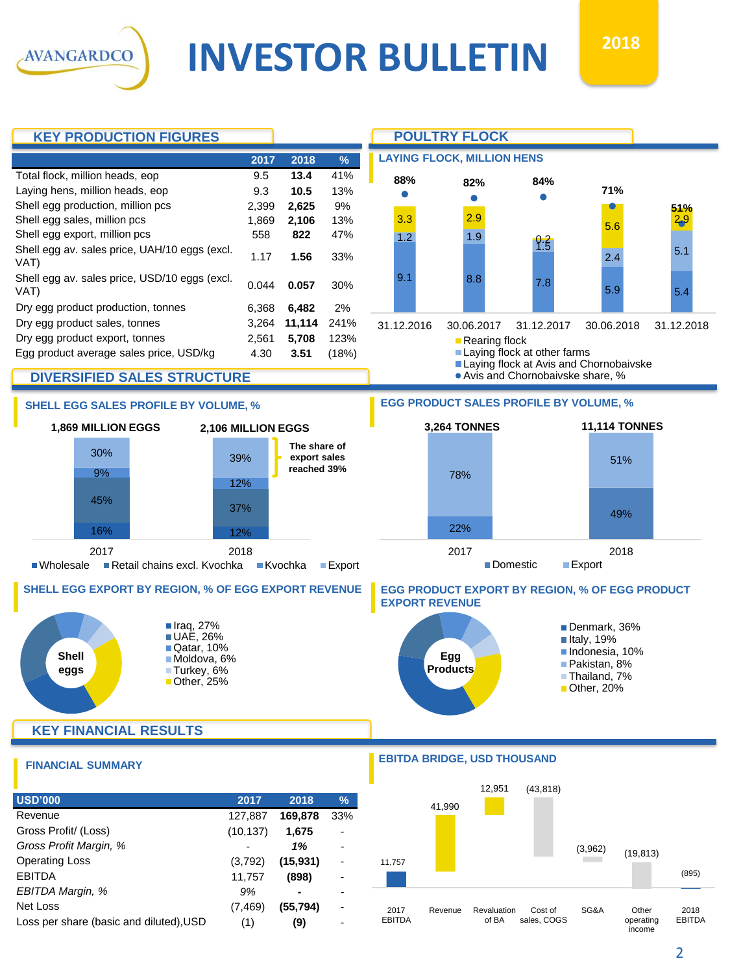**INVESTOR BULLETIN**  $2018$ 



2017 EBITDA Revenue Revaluation of BA

Cost of sales, COGS

Net Loss (7,469) **(55,794)** Loss per share (basic and diluted), USD (1) (9)

**AVANGARDCO** 

operating income EBITDA

SG&A Other

2018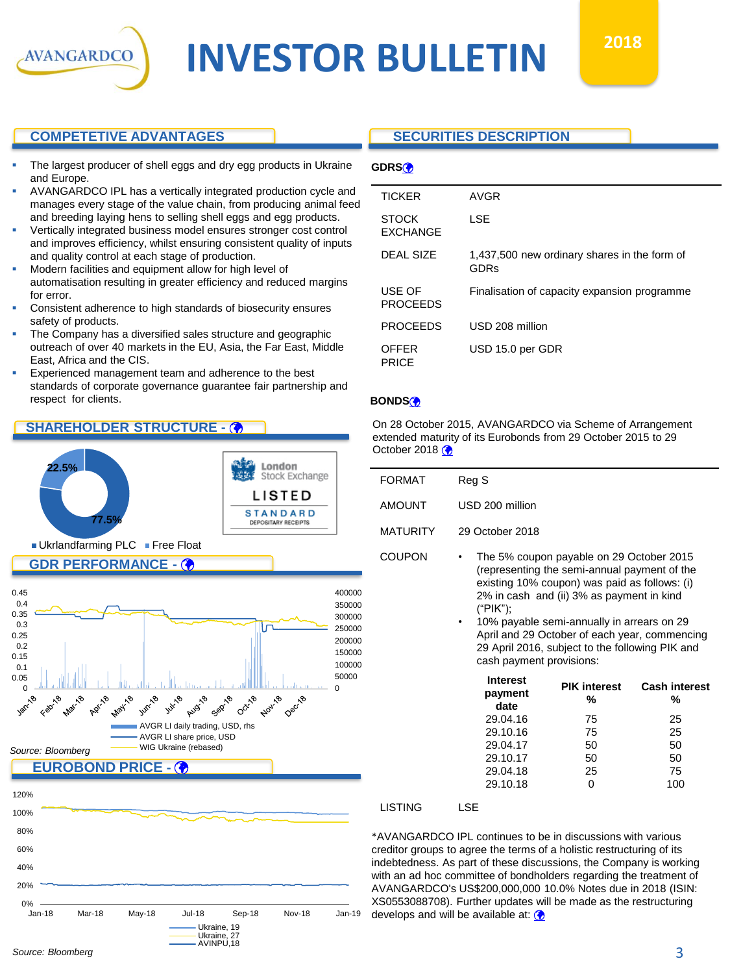

### **COMPETETIVE ADVANTAGES**

AVANGARDCO

- The largest producer of shell eggs and dry egg products in Ukraine and Europe.
- AVANGARDCO IPL has a vertically integrated production cycle and manages every stage of the value chain, from producing animal feed and breeding laying hens to selling shell eggs and egg products.
- Vertically integrated business model ensures stronger cost control and improves efficiency, whilst ensuring consistent quality of inputs and quality control at each stage of production.
- Modern facilities and equipment allow for high level of automatisation resulting in greater efficiency and reduced margins for error.
- Consistent adherence to high standards of biosecurity ensures safety of products.
- The Company has a diversified sales structure and geographic outreach of over 40 markets in the EU, Asia, the Far East, Middle East, Africa and the CIS.
- Experienced management team and adherence to the best standards of corporate governance guarantee fair partnership and respect for clients.

#### **SHAREHOLDER STRUCTURE -**





#### **SECURITIES DESCRIPTION**

| <b>TICKER</b>                   | AVGR                                                        |
|---------------------------------|-------------------------------------------------------------|
| <b>STOCK</b><br><b>EXCHANGE</b> | LSE                                                         |
| DEAL SIZE                       | 1,437,500 new ordinary shares in the form of<br><b>GDRs</b> |
| USE OF<br><b>PROCEEDS</b>       | Finalisation of capacity expansion programme                |
| <b>PROCEEDS</b>                 | USD 208 million                                             |
| <b>OFFER</b><br><b>PRICE</b>    | USD 15.0 per GDR                                            |

#### **BONDS**

On 28 October 2015, AVANGARDCO via Scheme of Arrangement extended maturity of its Eurobonds from 29 October 2015 to 29 October 2018 $\circledast$ 

| <b>FORMAT</b>   | Reg S                                                                                                                                                                                       |
|-----------------|---------------------------------------------------------------------------------------------------------------------------------------------------------------------------------------------|
| <b>AMOUNT</b>   | USD 200 million                                                                                                                                                                             |
| <b>MATURITY</b> | 29 October 2018                                                                                                                                                                             |
| <b>COUPON</b>   | The 5% coupon payable on 29 October 2015<br>٠<br>(representing the semi-annual payment of the<br>existing 10% coupon) was paid as follows: (i)<br>2% in cash and (ii) 3% as payment in kind |

("PIK"); • 10% payable semi-annually in arrears on 29 April and 29 October of each year, commencing 29 April 2016, subject to the following PIK and cash payment provisions:

| <b>Interest</b><br>payment<br>date | <b>PIK interest</b><br>% | <b>Cash interest</b><br>% |
|------------------------------------|--------------------------|---------------------------|
| 29.04.16                           | 75                       | 25                        |
| 29.10.16                           | 75                       | 25                        |
| 29.04.17                           | 50                       | 50                        |
| 29.10.17                           | 50                       | 50                        |
| 29.04.18                           | 25                       | 75                        |
| 29.10.18                           |                          | 100                       |

#### LISTING LSE

\*AVANGARDCO IPL continues to be in discussions with various creditor groups to agree the terms of a holistic restructuring of its indebtedness. As part of these discussions, the Company is working with an ad hoc committee of bondholders regarding the treatment of AVANGARDCO's US\$200,000,000 10.0% Notes due in 2018 (ISIN: XS0553088708). Further updates will be made as the restructuring develops and will be available at:  $\bigcirc$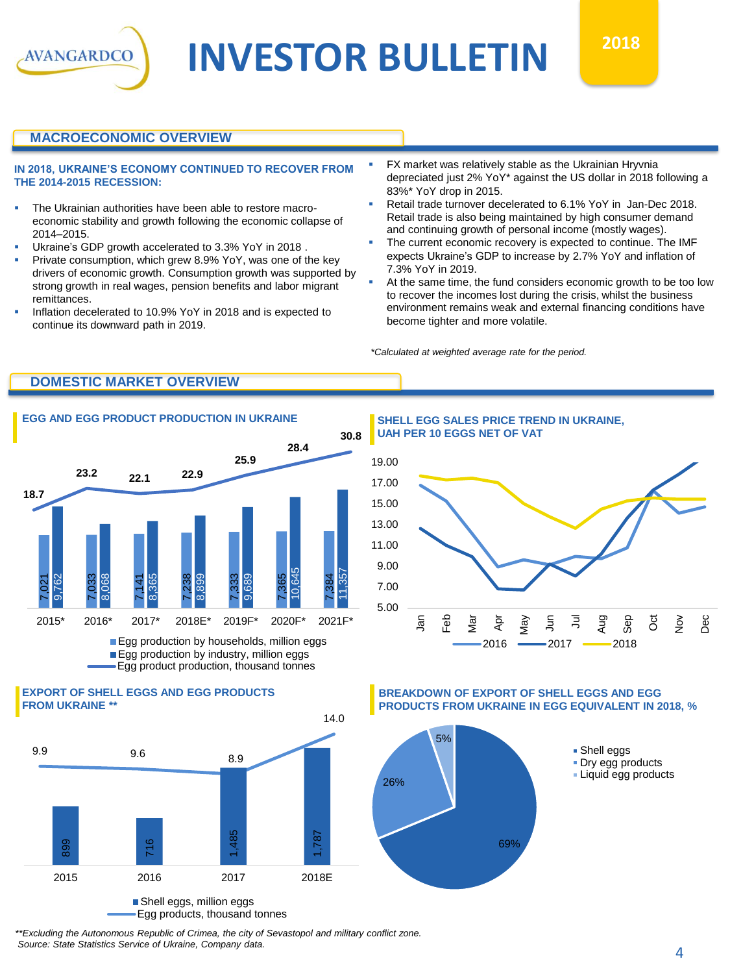

## **INVESTOR BULLETIN**  $2018$

#### **MACROECONOMIC OVERVIEW**

#### **IN 2018, UKRAINE'S ECONOMY CONTINUED TO RECOVER FROM THE 2014-2015 RECESSION:**

- The Ukrainian authorities have been able to restore macroeconomic stability and growth following the economic collapse of 2014–2015.
- Ukraine's GDP growth accelerated to 3.3% YoY in 2018.
- Private consumption, which grew 8.9% YoY, was one of the key drivers of economic growth. Consumption growth was supported by strong growth in real wages, pension benefits and labor migrant remittances.
- Inflation decelerated to 10.9% YoY in 2018 and is expected to continue its downward path in 2019.
- FX market was relatively stable as the Ukrainian Hryvnia depreciated just 2% YoY\* against the US dollar in 2018 following a 83%\* YoY drop in 2015.
- Retail trade turnover decelerated to 6.1% YoY in Jan-Dec 2018. Retail trade is also being maintained by high consumer demand and continuing growth of personal income (mostly wages).
- The current economic recovery is expected to continue. The IMF expects Ukraine's GDP to increase by 2.7% YoY and inflation of 7.3% YoY in 2019.
- At the same time, the fund considers economic growth to be too low to recover the incomes lost during the crisis, whilst the business environment remains weak and external financing conditions have become tighter and more volatile.

*\*Calculated at weighted average rate for the period.*

### **DOMESTIC MARKET OVERVIEW**



Egg production by industry, million eggs Egg product production, thousand tonnes

#### **EXPORT OF SHELL EGGS AND EGG PRODUCTS FROM UKRAINE \*\***



Egg products, thousand tonnes

**EGG AND EGG PRODUCT PRODUCTION IN UKRAINE SHELL EGG SALES PRICE TREND IN UKRAINE, UAH PER 10 EGGS NET OF VAT**



**BREAKDOWN OF EXPORT OF SHELL EGGS AND EGG PRODUCTS FROM UKRAINE IN EGG EQUIVALENT IN 2018, %**



*\*\*Excluding the Autonomous Republic of Crimea, the city of Sevastopol and military conflict zone.*